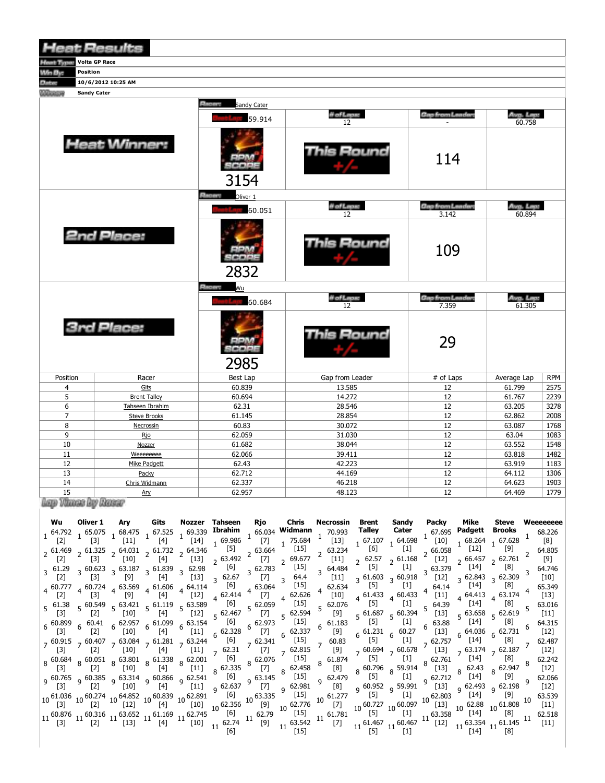| <b>Heat Results</b>                      |                     |                             |                  |                                  |                     |            |  |  |  |  |  |  |
|------------------------------------------|---------------------|-----------------------------|------------------|----------------------------------|---------------------|------------|--|--|--|--|--|--|
| <b>Volta GP Race</b><br><b>Heat Type</b> |                     |                             |                  |                                  |                     |            |  |  |  |  |  |  |
| Win By:<br>Position                      |                     |                             |                  |                                  |                     |            |  |  |  |  |  |  |
| <b>Datas</b>                             | 10/6/2012 10:25 AM  |                             |                  |                                  |                     |            |  |  |  |  |  |  |
| <b>Sandy Cater</b><br><b>COLORED BY</b>  |                     |                             |                  |                                  |                     |            |  |  |  |  |  |  |
|                                          |                     | Ements<br>Sandy Cater       |                  |                                  |                     |            |  |  |  |  |  |  |
|                                          |                     |                             | # of Laps:       | <b>Gap from Leaders</b>          | Avg. Lap:           |            |  |  |  |  |  |  |
|                                          |                     | 59.914                      | 12               |                                  | 60.758              |            |  |  |  |  |  |  |
|                                          | <b>Heat Winner:</b> | <b>BDM</b><br>SCOPE<br>3154 | This Round       | 114                              |                     |            |  |  |  |  |  |  |
|                                          |                     | <b>Phase Coliver 1</b>      |                  |                                  |                     |            |  |  |  |  |  |  |
|                                          |                     | 60.051                      | # of Laps:<br>12 | <b>Gap from Leader:</b><br>3.142 | Aug. Lap:<br>60.894 |            |  |  |  |  |  |  |
|                                          | <b>2nd Place:</b>   | 90005<br>2832               | is Round         | 109                              |                     |            |  |  |  |  |  |  |
|                                          |                     | <b>Placers</b><br>Wu        |                  |                                  |                     |            |  |  |  |  |  |  |
|                                          |                     | 60.684                      | # of Laps:       | <b>Gap from Leader:</b>          | Aug. Lap:           |            |  |  |  |  |  |  |
|                                          |                     |                             | 12               | 7.359                            | 61.305              |            |  |  |  |  |  |  |
|                                          | <b>3rd Place:</b>   | 8000C<br>2985               | This Round       | 29                               |                     |            |  |  |  |  |  |  |
| Position                                 | Racer               | Best Lap                    | Gap from Leader  | # of Laps                        | Average Lap         | <b>RPM</b> |  |  |  |  |  |  |
| 4                                        | Gits                | 60.839                      | 13.585           | 12                               | 61.799              | 2575       |  |  |  |  |  |  |
| 5                                        | <b>Brent Talley</b> | 60.694                      | 14.272           | 12                               | 61.767              | 2239       |  |  |  |  |  |  |
| 6                                        | Tahseen Ibrahim     | 62.31                       | 28.546           | 12                               | 63.205              | 3278       |  |  |  |  |  |  |
| 7                                        | <b>Steve Brooks</b> | 61.145                      | 28.854           | 12                               | 62.862              | 2008       |  |  |  |  |  |  |
| 8                                        | Necrossin           | 60.83                       | 30.072           | 12                               | 63.087              | 1768       |  |  |  |  |  |  |
| 9                                        | <b>Rio</b>          | 62.059                      | 31.030           | 12                               | 63.04               | 1083       |  |  |  |  |  |  |
| 10                                       | Nozzer              | 61.682                      | 38.044           | 12                               | 63.552              | 1548       |  |  |  |  |  |  |
| 11                                       | Weeeeeeee           | 62.066                      | 39.411           | 12                               | 63.818              | 1482       |  |  |  |  |  |  |
| 12                                       | Mike Padgett        | 62.43                       | 42.223           | 12                               | 63.919              | 1183       |  |  |  |  |  |  |
| 13                                       | Packy               | 62.712                      | 44.169           | 12                               | 64.112              | 1306       |  |  |  |  |  |  |
| 14                                       | Chris Widmann       | 62.337                      | 46.218           | 12                               | 64.623              | 1903       |  |  |  |  |  |  |
| 1.0                                      | $A_{\text{max}}$    | 6205                        | 10122            | 12                               | 61100               | 1770       |  |  |  |  |  |  |

15 Ary 17 Arrest Ary 620 are 1

| Wu                                                                                                                                  | Oliver 1                                                                                                                                             | Ary                                                                     | Gits                                                                                                                                                                                                                                                                                                                                                                                                                                                                                                                                                                                                                                                                                                                                                                                                                                                                                                                                                                                                            |        | Nozzer Tahseen                                                                                                                                            | Rjo                                                                                                                                 | Chris                                                                                                                                                                                                                                                                                                       | Necrossin                                                                                                                                                                                                                                                                                                                                                                                                                                           | Brent                                                                                                                                                                                                                                                                                                                                            | Sandy                                                                                                                                                                          | <b>Packy</b>                                                                                                                                                                                                 | Mike                                                                                                                                                                                                                                                                                                                                                                                                                                                                                                 | Steve                                                                              | Weeeeeeee                                                                                                                                                                                                                                                                                                     |
|-------------------------------------------------------------------------------------------------------------------------------------|------------------------------------------------------------------------------------------------------------------------------------------------------|-------------------------------------------------------------------------|-----------------------------------------------------------------------------------------------------------------------------------------------------------------------------------------------------------------------------------------------------------------------------------------------------------------------------------------------------------------------------------------------------------------------------------------------------------------------------------------------------------------------------------------------------------------------------------------------------------------------------------------------------------------------------------------------------------------------------------------------------------------------------------------------------------------------------------------------------------------------------------------------------------------------------------------------------------------------------------------------------------------|--------|-----------------------------------------------------------------------------------------------------------------------------------------------------------|-------------------------------------------------------------------------------------------------------------------------------------|-------------------------------------------------------------------------------------------------------------------------------------------------------------------------------------------------------------------------------------------------------------------------------------------------------------|-----------------------------------------------------------------------------------------------------------------------------------------------------------------------------------------------------------------------------------------------------------------------------------------------------------------------------------------------------------------------------------------------------------------------------------------------------|--------------------------------------------------------------------------------------------------------------------------------------------------------------------------------------------------------------------------------------------------------------------------------------------------------------------------------------------------|--------------------------------------------------------------------------------------------------------------------------------------------------------------------------------|--------------------------------------------------------------------------------------------------------------------------------------------------------------------------------------------------------------|------------------------------------------------------------------------------------------------------------------------------------------------------------------------------------------------------------------------------------------------------------------------------------------------------------------------------------------------------------------------------------------------------------------------------------------------------------------------------------------------------|------------------------------------------------------------------------------------|---------------------------------------------------------------------------------------------------------------------------------------------------------------------------------------------------------------------------------------------------------------------------------------------------------------|
| $\lfloor 2 \rfloor$<br>$\lfloor 2 \rfloor$<br>$3\quad 61.29$<br> 2 <br>$5\quad 61.38$<br>$\lfloor 3 \rfloor$<br>$\lfloor 3 \rfloor$ | $\lfloor 3 \rfloor$<br>$\lfloor 3 \rfloor$<br>$\lfloor 3 \rfloor$<br>$\lfloor 2 \rfloor$<br>$\lfloor 2 \rfloor$<br>$\begin{bmatrix} 2 \end{bmatrix}$ | $[11]$<br>$[10]$<br>[9]<br>$\begin{bmatrix} 10 \end{bmatrix}$<br>$[10]$ | $1\begin{array}{cccccc} 64.792 & 65.075 & 68.475 & 67.525 & 69.339 \end{array}$ <b>Ibrahim</b><br>1 [21] $1\begin{array}{cccccc} 1 & 67.525 & 69.339 & \textbf{I} & \textbf{I} & \textbf{I} & \textbf{I} & \textbf{I} & \textbf{I} & \textbf{I} & \textbf{I} & \textbf{I} & \textbf{I} & \textbf{I} & \textbf{I} & \textbf{I} & \textbf{I} & \textbf{I} & \textbf{I} & \textbf{I} &$<br>[4]<br>$2^{61.469}$ $2^{61.325}$ $2^{64.031}$ $2^{61.732}$ $2^{64.346}$<br>[4]<br>$3\begin{array}{cc} 60.623 \\ 3\end{array}$ $3\begin{array}{cc} 63.187 \\ 101 \end{array}$ $3\begin{array}{cc} 61.839 \\ 103 \end{array}$ $3\begin{array}{cc} 62.98 \\ 1031 \end{array}$ $62.67$<br>[4]<br>$5\frac{60.549}{52}$ $5\frac{63.421}{5101}$ $5\frac{61.119}{5101}$ $5\frac{63.589}{5101}$ $5\frac{61.119}{5101}$<br>7 60.915 7 60.407 7 63.084 7 61.281 7 63.244 $\frac{[6]}{[3]}$<br>[4]<br>$8\begin{array}{c ccccc}\n 86.684 & 86.051 & 863.801 & 861.338 & 862.001 & 6\n \end{array}$<br>$[10]$ $[4]$ $[11]$ $[62.335]$ | $[13]$ | [5]<br>$[13] \t2 \t63.492$<br>$3\quad 62.67$<br>$[12] \quad 4 \quad 62.414 \quad 7$<br>$[4]$ $[12]$ $[62.467$ $[7]$<br>$6^{62.328}$ [7]<br>$[11]$ 7 62.31 | 2 63.664<br>[7]<br>3 62.783<br>$\begin{bmatrix} 7 \end{bmatrix}$<br>4 63.064<br>$6^{62.973}$<br>$\left[7\right]$<br>8 62.076<br>[7] | Chris<br>$[14]$ 1 69.986 1 66.034 Widmann<br>1 346 1 69.986 1 71 -<br>[15]<br>$2^{69.677}$<br>$[15]$<br>$3^{64.4}$<br>$[15]$<br>4 62.626<br>$5\frac{62.059}{27}$ [15]<br>5 62.594<br>$[15]$<br>$6\frac{62.337}{ }$<br>$7\substack{62.341\\ -\ }$ <sup>0</sup> [15]<br>$7\text{ }62.815$<br>[15]<br>8 62.458 | , 70.993<br>[13]<br>63.234<br>$[11]$<br>64.484<br>$[11]$<br>4 62.634<br>[10]<br>5 62.076<br>[9]<br>$6\frac{61.183}{ }$<br>[9]<br>$7^{60.83}$<br>[9]<br>8 61.874<br>[8]                                                                                                                                                                                                                                                                              | $1 \t\t\t 67.107 \t\t 1 \t\t\t 64.698 \t\t 1 \t\t\t 67.695$<br>1 \times 1 \times 1 \times 1 \times 1 \times 1 \times 1 \times 1 \times 1 \times 1 \times 1 \times 1 \times 1 \times 1 \times 1 \times 1 \times 1 \times 1 \times 1 \times 1 \<br>[6]<br>$[5]$<br>$[5]$<br>$\begin{bmatrix} 5 \end{bmatrix}$<br>$\begin{bmatrix} 5 \end{bmatrix}$ | $[1]$<br>$2^{62.57}$ $2^{61.168}$<br>$[1]$<br>$3\frac{61.603}{57}$ 3 60.918<br>$[1]$<br>$[1]$<br>$[1]$<br>$6\begin{array}{cc} 61.231 & 6 & 60.27 \\ [5] & 6 & [1] \end{array}$ | $2^{66.058}$<br>$[12]$<br>3 63.379<br>$[12]$<br>$4^{64.14}$<br>$4^{61.433}$ $4^{60.433}$ $4^{111}$<br>$5^{64.39}$<br>$5\substack{61.687\\ -2.5}$ 5 60.394 <sup>5</sup> [13]<br>$6^{63.88}$<br>$\frac{13}{2}$ | Padgett<br>$1 \frac{68.264}{1}$ 1 67.628 <sup>1</sup><br>[12]<br>$2^{66.457}$ 2 62.761<br>$[14]$<br>$3\frac{62.843}{51.33}$ 3 62.309<br>$\lfloor 14 \rfloor$<br>$4\begin{array}{cc} 64.413 & 4 \end{array}$ 63.174 $^4$<br>$[14]$<br>$5\frac{63.658}{5}$ 5 62.619 $\frac{5}{5}$<br>[14]<br>$6\begin{array}{cc}64.036 & 62.731\end{array}$ $\begin{array}{cc}6 & 6 & 62.731\end{array}$<br>$7\begin{array}{c} 63.174 \\ 7 \end{array}$ 7 62.187 <sup>7</sup>                                          | Brooks<br>[9]<br>[8]<br>[8]<br>[8]<br>[8]<br>[8]<br>[8]<br>$8\frac{62.947}{ }$ $8$ | 68.226<br>[8]<br>64.805<br>[9]<br>64.746<br>$\left[10\right]$<br>65.349<br>$\lfloor 13 \rfloor$<br>$5\quad 63.016$<br>[11]<br>64.315<br>6<br>$[12]$<br>62.487<br>$[12]$<br>62.242<br>$[12]$                                                                                                                   |
| $\begin{bmatrix} 3 \end{bmatrix}$                                                                                                   | $\begin{bmatrix} 2 \end{bmatrix}$                                                                                                                    |                                                                         | 9 60.765 9 60.385 9 63.314 9 60.866 9 62.541 $[6]$<br>$[10]$ (4] (11] 62.637<br>$10\, \frac{61.036}{[3]}\,\, 10\, \frac{60.274}{[2]}\,\, 10\, \frac{64.852}{[12]}\,\, 10\, \frac{60.839}{[4]}\,\, 10\, \frac{62.891}{[10]}\,\, \frac{7}{10}\, \frac{[6]}{62.356}$<br>$11 \, {\footnotesize \begin{array}{c} 60.876 \\ \text{[3]} \end{array}} \, 11 \, {\footnotesize \begin{array}{c} 60.316 \\ \text{[2]} \end{array}} \, 11 \, {\footnotesize \begin{array}{c} 63.652 \\ \text{[13]} \end{array}} \, 11 \, {\footnotesize \begin{array}{c} 61.169 \\ \text{[4]} \end{array}} \, 11 \, {\footnotesize \begin{array}{c} 62.745 \\ \text{[10]} \end{array}} \, {\footnotesize \begin{array}{c} 10 \\ \text{[11]} \end{array}} \, 11 \,$                                                                                                                                                                                                                                                                         |        | $[10]$ $\begin{array}{ c c c c c } \hline 11 & 62.79 \\ \hline 11 & 62.74 & 11 & 691 \\\hline \end{array}$<br>[6]                                         | $9\,63.145$<br>$\begin{bmatrix} 7 \end{bmatrix}$                                                                                    | $[15]$<br>9 62.981<br>[15]                                                                                                                                                                                                                                                                                  | 9 62.479<br>[8]<br>62.891 [6] 63.335 [15] $10\begin{array}{ c c c c c c c c } \hline 62.891 & [6] & 63.335 & [15] & 61.277 & 5 & [5] & 61 \ \hline & 10 & 10 & 62.356 & [9] & 62.776 & [7] & 10 & 60.727 & 10 & 60.097 \ \hline & 62.745 & 16 & 62.72 & 10 & 61.72 & 10 & 60.097 \ \hline \end{array}$<br>$[9] \begin{bmatrix} 1 & 1 & 61.781 \\ 11 & 63.542 & 11 & 61.781 \\ 11 & 63.542 & 11 & 61.781 \\ 11 & 63.542 & 11 & 61.781 \end{bmatrix}$ | $\begin{bmatrix} 5 \end{bmatrix}$                                                                                                                                                                                                                                                                                                                | $[1]$                                                                                                                                                                          | 9 $\frac{60.952}{55}$ 9 $\frac{59.991}{5}$ [13]                                                                                                                                                              | 9 $\frac{62.712}{1.21}$ $\frac{6}{1.41}$<br>$9^{62.493}$ $9^{62.198}$<br>$\begin{bmatrix} 5 \\ 10 \end{bmatrix}$ $\begin{bmatrix} 5 \\ 7 \end{bmatrix}$ $\begin{bmatrix} 1 \\ 1 \end{bmatrix}$ $\begin{bmatrix} 1 \\ 0.727 \\ 10 \end{bmatrix}$ $\begin{bmatrix} 1 \\ 10 \end{bmatrix}$ $\begin{bmatrix} 10 \\ 10 \end{bmatrix}$ $\begin{bmatrix} 10 \\ 13 \end{bmatrix}$ $\begin{bmatrix} 10 \\ 10 \end{bmatrix}$ $\begin{bmatrix} 10 \\ 10 \end{bmatrix}$ $\begin{bmatrix} 10 \\ 10 \end{bmatrix}$ | [9]                                                                                | 9 62.066<br>$[12]$<br>63.539<br>$[11]$<br>$1 \t[7] \t[1] \t[13] \t[14] \t[15] \t[16] \t[17] \t[18] \t[18] \t[19] \t[10] \t[10] \t[10] \t[11] \t[13] \t[15] \t[16] \t[17] \t[18] \t[19] \t[10] \t[10] \t[10] \t[11] \t[10] \t[11] \t[10] \t[11] \t[10] \t[11] \t[10] \t[11] \t[10] \t[11] \t[10] \t[11] \t[10$ |